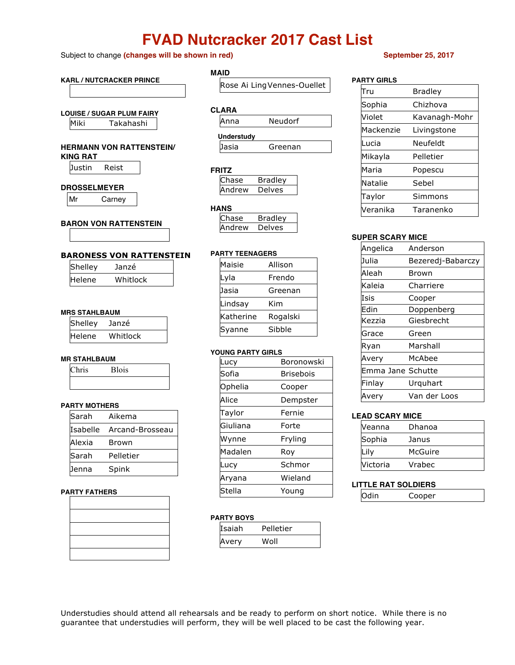# **FVAD Nutcracker 2017 Cast List**

### Subject to change **(changes will be shown in red) September 25, 2017**

## **KARL / NUTCRACKER PRINCE LOUISE / SUGAR PLUM FAIRY** Miki Takahashi **HERMANN VON RATTENSTEIN/ KING RAT** Justin Reist **DROSSELMEYER** Mr Carney **BARON VON RATTENSTEIN BARONESS VON RATTENSTEIN** Shelley Janzé Helene Whitlock **MRS STAHLBAUM** Shelley Janzé Helene Whitlock **MR STAHLBAUM** Chris Blois **PARTY MOTHERS MAID CLARA YOU**

| Sarah  | Aikema                   |
|--------|--------------------------|
|        | Isabelle Arcand-Brosseau |
| Alexia | Brown                    |
| Sarah  | Pelletier                |
| Jenna  | Spink                    |

### **PARTY FATHERS**

## Rose Ai LingVennes-Ouellet

| LARA |         |  |
|------|---------|--|
| Anna | Neudorf |  |

| <b>Understudy</b> |         |
|-------------------|---------|
| llasia            | Greenan |

### **FRITZ**

| iase  | Bradlev      |
|-------|--------------|
| าdrew | $A^{\alpha}$ |

### **HANS**

| Chase  | <b>Bradley</b> |
|--------|----------------|
| Andrew | Delves         |

### **PARTY TEENAGERS**

| Maisie    | Allison  |
|-----------|----------|
| Lyla      | Frendo   |
| Jasia     | Greenan  |
| Lindsay   | Kim      |
| Katherine | Rogalski |
| Syanne    | Sibble   |

| Lucy     | Boronowski       |
|----------|------------------|
| Sofia    | <b>Brisebois</b> |
| Ophelia  | Cooper           |
| Alice    | Dempster         |
| Taylor   | Fernie           |
| Giuliana | Forte            |
| Wynne    | Fryling          |
| Madalen  | Rov              |
| Lucy     | Schmor           |
| Aryana   | Wieland          |
| Stella   | Young            |

### **PARTY BOYS**

| Isaiah | Pelletier |
|--------|-----------|
| Avery  | Woll      |

| <b>PARTY GIRLS</b> |               |  |  |
|--------------------|---------------|--|--|
| Tru                | Bradley       |  |  |
| Sophia             | Chizhova      |  |  |
| Violet             | Kavanagh-Mohr |  |  |
| Mackenzie          | Livingstone   |  |  |
| Lucia              | Neufeldt      |  |  |
| Mikayla            | Pelletier     |  |  |
| Maria              | Popescu       |  |  |
| Natalie            | Sebel         |  |  |
| Taylor             | Simmons       |  |  |
| Veranika           | Taranenko     |  |  |

### **SUPER SCARY MICE**

| Angelica          | Anderson          |
|-------------------|-------------------|
| Julia             | Bezeredj-Babarczy |
| Aleah             | Brown             |
| Kaleia            | Charriere         |
| Isis              | Cooper            |
| Edin              | Doppenberg        |
| Kezzia            | Giesbrecht        |
| Grace             | Green             |
| Ryan              | Marshall          |
| Avery             | McAhee            |
| Emma Jane Schutte |                   |
| Finlay            | Urquhart          |
| Avery             | Van der Loos      |

### **LEAD SCARY MICE**

| Veanna   | Dhanoa  |
|----------|---------|
| Sophia   | Janus   |
|          | McGuire |
| Victoria | Vrabec  |

### **LITTLE RAT SOLDIERS**

Odin Cooper

Understudies should attend all rehearsals and be ready to perform on short notice. While there is no guarantee that understudies will perform, they will be well placed to be cast the following year.

| NG PARTY GIRLS |                  |  |
|----------------|------------------|--|
| ucy            | Boronowsl        |  |
| ofia           | <b>Brisebois</b> |  |
| phelia         | Cooper           |  |
| lice           | Dempster         |  |
| aylor          | Fernie           |  |
| iuliana        | Forte            |  |
| /ynne          | Fryling          |  |
| ladalen        | Roy              |  |
| ucy            | Schmor           |  |
| ryana          | Wieland          |  |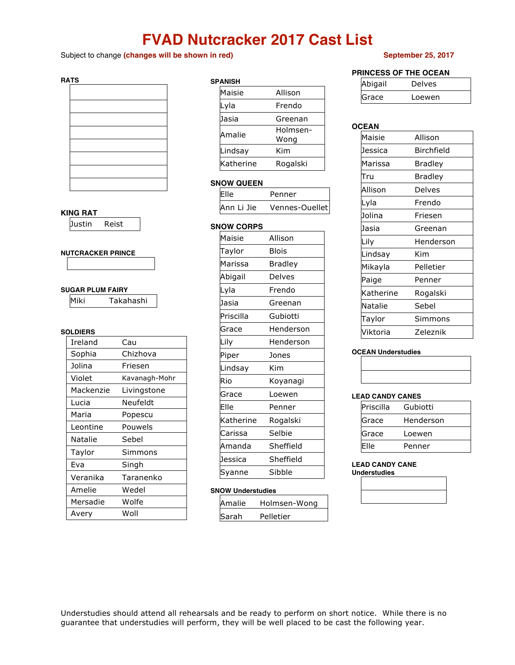# **FVAD Nutcracker 2017 Cast List**

Subject to change **(changes will be shown in red) September 25, 2017**

### **RATS**

### **KING RAT**

Justin Reist

### **NUTCRACKER PRINCE**

### **SUGAR PLUM FAIRY**

| Miki | Takahashi |
|------|-----------|
|------|-----------|

### **SOLDIERS**

| Ireland   | Cau           |
|-----------|---------------|
| Sophia    | Chizhova      |
| Jolina    | Friesen       |
| Violet    | Kavanagh-Mohr |
| Mackenzie | Livingstone   |
| Lucia     | Neufeldt      |
| Maria     | Popescu       |
| Leontine  | Pouwels       |
| Natalie   | Sebel         |
| Taylor    | Simmons       |
| Eva       | Singh         |
| Veranika  | Taranenko     |
| Amelie    | Wedel         |
| Mersadie  | Wolfe         |
| Avery     | Woll          |

## **SPANISH**

| -амэп     |                  |
|-----------|------------------|
| Maisie    | Allison          |
| Lyla      | Frendo           |
| Jasia     | Greenan          |
| Amalie    | Holmsen-<br>Wong |
| Lindsay   | Kim              |
| Katherine | Rogalski         |

### **SNOW QUEEN**

| lElle      | Penner         |
|------------|----------------|
| Ann Li Jie | Vennes-Ouellet |

### **SNOW CORPS**

| Maisie    | Allison   |
|-----------|-----------|
| Taylor    | Blois     |
| Marissa   | Bradley   |
| Abigail   | Delves    |
| Lyla      | Frendo    |
| Jasia     | Greenan   |
| Priscilla | Gubiotti  |
| Grace     | Henderson |
| Lily      | Henderson |
| Piper     | Jones     |
| Lindsay   | Kim       |
| Rio       | Koyanagi  |
| Grace     | Loewen    |
| Elle      | Penner    |
| Katherine | Rogalski  |
| Carissa   | Selbie    |
| Amanda    | Sheffield |
| Jessica   | Sheffield |
| Syanne    | Sibble    |

### **SNOW Understudies**

| Amalie | Holmsen-Wong |
|--------|--------------|
| Sarah  | Pelletier    |

### **PRINCESS OF THE OCEAN**

| Abigail | Delves |
|---------|--------|
| Grace   | Loewen |

### **OCEAN**

| Maisie    | Allison    |
|-----------|------------|
| Jessica   | Birchfield |
| Marissa   | Bradley    |
| Tru       | Bradley    |
| Allison   | Delves     |
| Lyla      | Frendo     |
| Jolina    | Friesen    |
| Jasia     | Greenan    |
| Lily      | Henderson  |
| Lindsay   | Kim        |
| Mikayla   | Pelletier  |
| Paige     | Penner     |
| Katherine | Rogalski   |
| Natalie   | Sebel      |
| Taylor    | Simmons    |
| Viktoria  | Zeleznik   |

### **OCEAN Understudies**

### **LEAD CANDY CANES**

| Priscilla | Gubiotti  |
|-----------|-----------|
| Grace     | Henderson |
| Grace     | Loewen    |
| Elle      | Penner    |

**LEAD CANDY CANE Understudies**

Understudies should attend all rehearsals and be ready to perform on short notice. While there is no guarantee that understudies will perform, they will be well placed to be cast the following year.